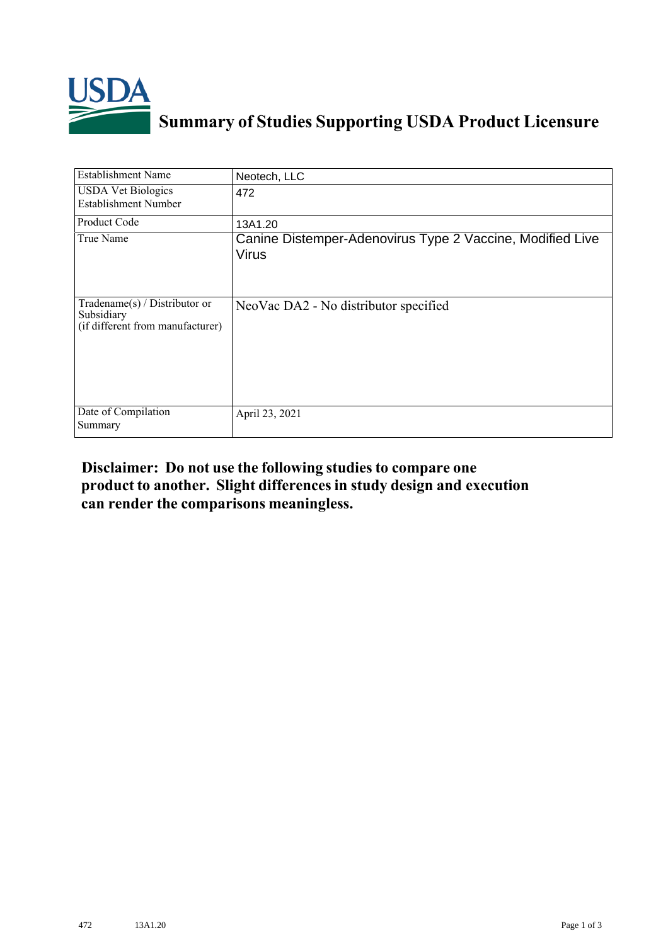

## **Summary of Studies Supporting USDA Product Licensure**

| <b>Establishment Name</b>                                                       | Neotech, LLC                                                              |
|---------------------------------------------------------------------------------|---------------------------------------------------------------------------|
| <b>USDA Vet Biologics</b><br><b>Establishment Number</b>                        | 472                                                                       |
| <b>Product Code</b>                                                             | 13A1.20                                                                   |
| True Name                                                                       | Canine Distemper-Adenovirus Type 2 Vaccine, Modified Live<br><b>Virus</b> |
| Tradename(s) / Distributor or<br>Subsidiary<br>(if different from manufacturer) | NeoVac DA2 - No distributor specified                                     |
| Date of Compilation<br>Summary                                                  | April 23, 2021                                                            |

## **Disclaimer: Do not use the following studiesto compare one product to another. Slight differencesin study design and execution can render the comparisons meaningless.**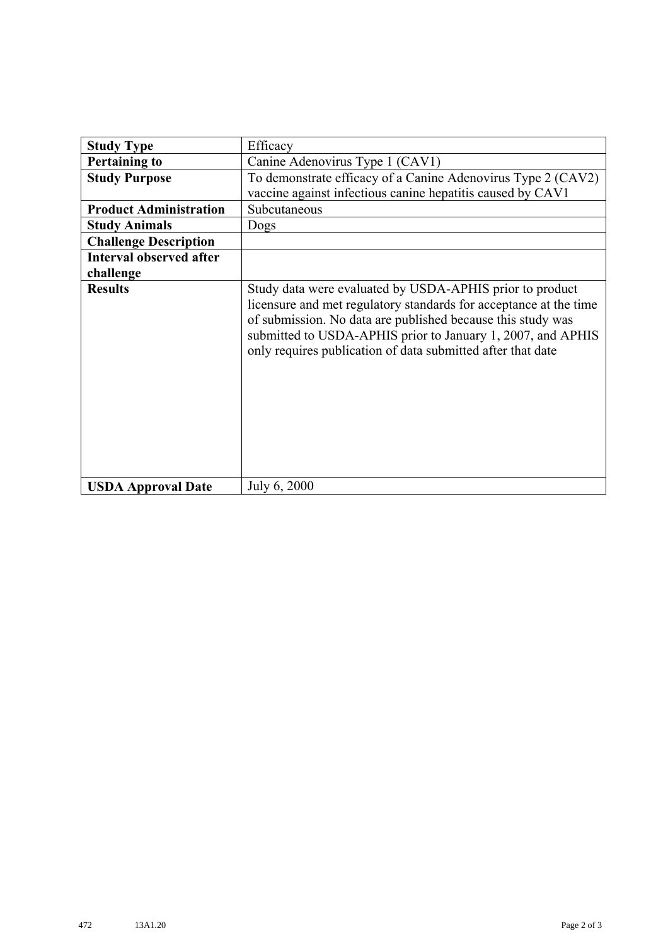| <b>Study Type</b>              | Efficacy                                                                                                                                                                                                                                                                                                                   |
|--------------------------------|----------------------------------------------------------------------------------------------------------------------------------------------------------------------------------------------------------------------------------------------------------------------------------------------------------------------------|
| <b>Pertaining to</b>           | Canine Adenovirus Type 1 (CAV1)                                                                                                                                                                                                                                                                                            |
| <b>Study Purpose</b>           | To demonstrate efficacy of a Canine Adenovirus Type 2 (CAV2)                                                                                                                                                                                                                                                               |
|                                | vaccine against infectious canine hepatitis caused by CAV1                                                                                                                                                                                                                                                                 |
| <b>Product Administration</b>  | Subcutaneous                                                                                                                                                                                                                                                                                                               |
| <b>Study Animals</b>           | Dogs                                                                                                                                                                                                                                                                                                                       |
| <b>Challenge Description</b>   |                                                                                                                                                                                                                                                                                                                            |
| <b>Interval observed after</b> |                                                                                                                                                                                                                                                                                                                            |
| challenge                      |                                                                                                                                                                                                                                                                                                                            |
| <b>Results</b>                 | Study data were evaluated by USDA-APHIS prior to product<br>licensure and met regulatory standards for acceptance at the time<br>of submission. No data are published because this study was<br>submitted to USDA-APHIS prior to January 1, 2007, and APHIS<br>only requires publication of data submitted after that date |
| <b>USDA Approval Date</b>      | July 6, 2000                                                                                                                                                                                                                                                                                                               |